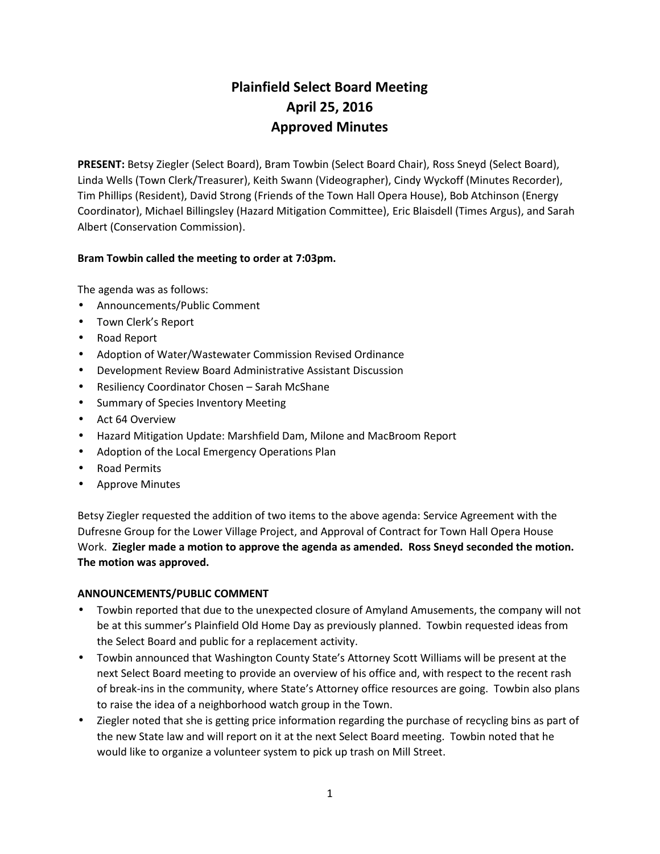# **Plainfield Select Board Meeting April 25, 2016 Approved Minutes**

**PRESENT:** Betsy Ziegler (Select Board), Bram Towbin (Select Board Chair), Ross Sneyd (Select Board), Linda Wells (Town Clerk/Treasurer), Keith Swann (Videographer), Cindy Wyckoff (Minutes Recorder), Tim Phillips (Resident), David Strong (Friends of the Town Hall Opera House), Bob Atchinson (Energy Coordinator), Michael Billingsley (Hazard Mitigation Committee), Eric Blaisdell (Times Argus), and Sarah Albert (Conservation Commission).

# **Bram Towbin called the meeting to order at 7:03pm.**

The agenda was as follows:

- Announcements/Public Comment
- Town Clerk's Report
- Road Report
- Adoption of Water/Wastewater Commission Revised Ordinance
- Development Review Board Administrative Assistant Discussion
- Resiliency Coordinator Chosen Sarah McShane
- Summary of Species Inventory Meeting
- Act 64 Overview
- Hazard Mitigation Update: Marshfield Dam, Milone and MacBroom Report
- Adoption of the Local Emergency Operations Plan
- Road Permits
- Approve Minutes

Betsy Ziegler requested the addition of two items to the above agenda: Service Agreement with the Dufresne Group for the Lower Village Project, and Approval of Contract for Town Hall Opera House Work. **Ziegler made a motion to approve the agenda as amended. Ross Sneyd seconded the motion. The motion was approved.**

## **ANNOUNCEMENTS/PUBLIC COMMENT**

- Towbin reported that due to the unexpected closure of Amyland Amusements, the company will not be at this summer's Plainfield Old Home Day as previously planned. Towbin requested ideas from the Select Board and public for a replacement activity.
- Towbin announced that Washington County State's Attorney Scott Williams will be present at the next Select Board meeting to provide an overview of his office and, with respect to the recent rash of break-ins in the community, where State's Attorney office resources are going. Towbin also plans to raise the idea of a neighborhood watch group in the Town.
- Ziegler noted that she is getting price information regarding the purchase of recycling bins as part of the new State law and will report on it at the next Select Board meeting. Towbin noted that he would like to organize a volunteer system to pick up trash on Mill Street.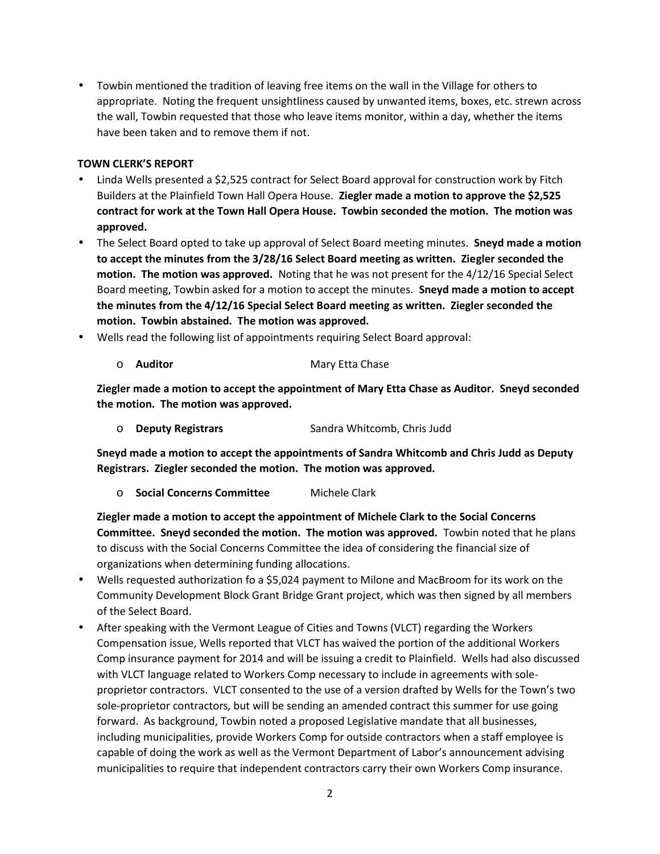Towbin mentioned the tradition of leaving free items on the wall in the Village for others to appropriate. Noting the frequent unsightliness caused by unwanted items, boxes, etc. strewn across the wall, Towbin requested that those who leave items monitor, within a day, whether the items have been taken and to remove them if not.

## **TOWN CLERK'S REPORT**

- Linda Wells presented a \$2,525 contract for Select Board approval for construction work by Fitch Builders at the Plainfield Town Hall Opera House. **Ziegler made a motion to approve the \$2,525 contract for work at the Town Hall Opera House. Towbin seconded the motion. The motion was approved.**
- The Select Board opted to take up approval of Select Board meeting minutes. **Sneyd made a motion to accept the minutes from the 3/28/16 Select Board meeting as written. Ziegler seconded the motion. The motion was approved.** Noting that he was not present for the 4/12/16 Special Select Board meeting, Towbin asked for a motion to accept the minutes. **Sneyd made a motion to accept the minutes from the 4/12/16 Special Select Board meeting as written. Ziegler seconded the motion. Towbin abstained. The motion was approved.**
- Wells read the following list of appointments requiring Select Board approval:
	- o **Auditor** Mary Etta Chase

**Ziegler made a motion to accept the appointment of Mary Etta Chase as Auditor. Sneyd seconded the motion. The motion was approved.**

o **Deputy Registrars** Sandra Whitcomb, Chris Judd

**Sneyd made a motion to accept the appointments of Sandra Whitcomb and Chris Judd as Deputy Registrars. Ziegler seconded the motion. The motion was approved.**

o **Social Concerns Committee** Michele Clark

**Ziegler made a motion to accept the appointment of Michele Clark to the Social Concerns Committee. Sneyd seconded the motion. The motion was approved.** Towbin noted that he plans to discuss with the Social Concerns Committee the idea of considering the financial size of organizations when determining funding allocations.

- Wells requested authorization fo a \$5,024 payment to Milone and MacBroom for its work on the Community Development Block Grant Bridge Grant project, which was then signed by all members of the Select Board.
- After speaking with the Vermont League of Cities and Towns (VLCT) regarding the Workers Compensation issue, Wells reported that VLCT has waived the portion of the additional Workers Comp insurance payment for 2014 and will be issuing a credit to Plainfield. Wells had also discussed with VLCT language related to Workers Comp necessary to include in agreements with sole proprietor contractors. VLCT consented to the use of a version drafted by Wells for the Town's two sole-proprietor contractors, but will be sending an amended contract this summer for use going forward. As background, Towbin noted a proposed Legislative mandate that all businesses, including municipalities, provide Workers Comp for outside contractors when a staff employee is capable of doing the work as well as the Vermont Department of Labor's announcement advising municipalities to require that independent contractors carry their own Workers Comp insurance.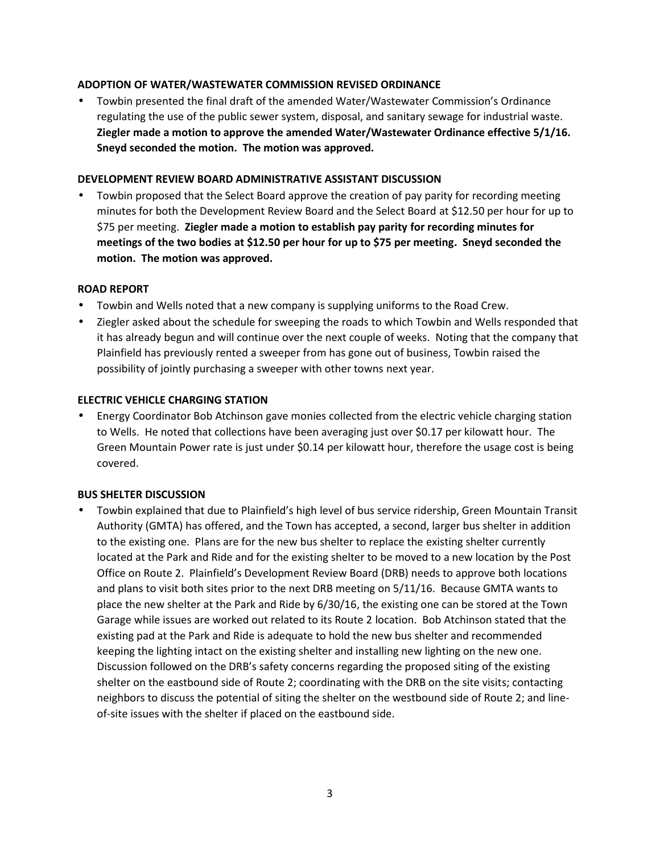## **ADOPTION OF WATER/WASTEWATER COMMISSION REVISED ORDINANCE**

 Towbin presented the final draft of the amended Water/Wastewater Commission's Ordinance regulating the use of the public sewer system, disposal, and sanitary sewage for industrial waste. **Ziegler made a motion to approve the amended Water/Wastewater Ordinance effective 5/1/16. Sneyd seconded the motion. The motion was approved.**

## **DEVELOPMENT REVIEW BOARD ADMINISTRATIVE ASSISTANT DISCUSSION**

 Towbin proposed that the Select Board approve the creation of pay parity for recording meeting minutes for both the Development Review Board and the Select Board at \$12.50 per hour for up to \$75 per meeting. **Ziegler made a motion to establish pay parity for recording minutes for meetings of the two bodies at \$12.50 per hour for up to \$75 per meeting. Sneyd seconded the motion. The motion was approved.**

## **ROAD REPORT**

- Towbin and Wells noted that a new company is supplying uniforms to the Road Crew.
- Ziegler asked about the schedule for sweeping the roads to which Towbin and Wells responded that it has already begun and will continue over the next couple of weeks. Noting that the company that Plainfield has previously rented a sweeper from has gone out of business, Towbin raised the possibility of jointly purchasing a sweeper with other towns next year.

## **ELECTRIC VEHICLE CHARGING STATION**

 Energy Coordinator Bob Atchinson gave monies collected from the electric vehicle charging station to Wells. He noted that collections have been averaging just over \$0.17 per kilowatt hour. The Green Mountain Power rate is just under \$0.14 per kilowatt hour, therefore the usage cost is being covered.

## **BUS SHELTER DISCUSSION**

 Towbin explained that due to Plainfield's high level of bus service ridership, Green Mountain Transit Authority (GMTA) has offered, and the Town has accepted, a second, larger bus shelter in addition to the existing one. Plans are for the new bus shelter to replace the existing shelter currently located at the Park and Ride and for the existing shelter to be moved to a new location by the Post Office on Route 2. Plainfield's Development Review Board (DRB) needs to approve both locations and plans to visit both sites prior to the next DRB meeting on 5/11/16. Because GMTA wants to place the new shelter at the Park and Ride by 6/30/16, the existing one can be stored at the Town Garage while issues are worked out related to its Route 2 location. Bob Atchinson stated that the existing pad at the Park and Ride is adequate to hold the new bus shelter and recommended keeping the lighting intact on the existing shelter and installing new lighting on the new one. Discussion followed on the DRB's safety concerns regarding the proposed siting of the existing shelter on the eastbound side of Route 2; coordinating with the DRB on the site visits; contacting neighbors to discuss the potential of siting the shelter on the westbound side of Route 2; and line of-site issues with the shelter if placed on the eastbound side.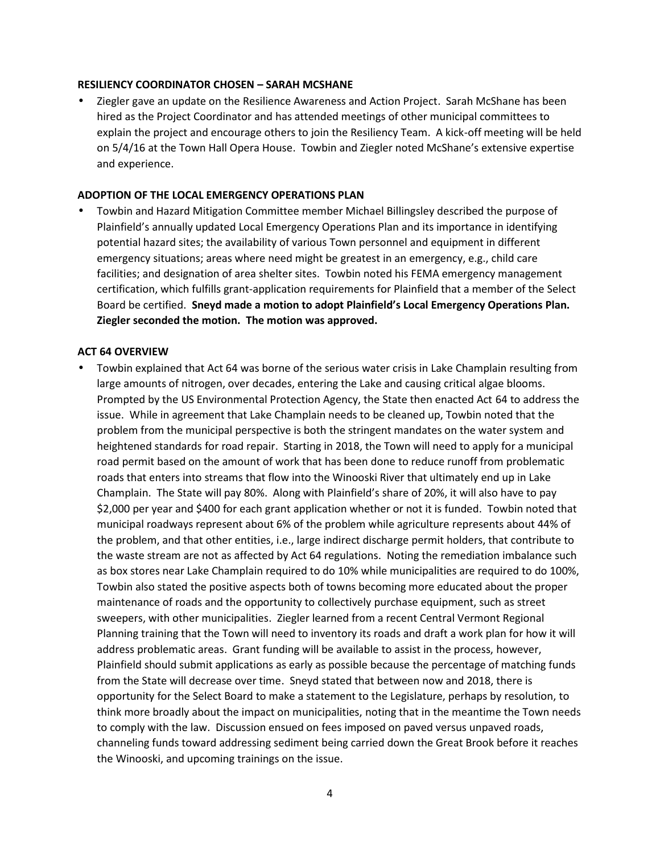#### **RESILIENCY COORDINATOR CHOSEN – SARAH MCSHANE**

 Ziegler gave an update on the Resilience Awareness and Action Project. Sarah McShane has been hired as the Project Coordinator and has attended meetings of other municipal committees to explain the project and encourage others to join the Resiliency Team. A kick-off meeting will be held on 5/4/16 at the Town Hall Opera House. Towbin and Ziegler noted McShane's extensive expertise and experience.

## **ADOPTION OF THE LOCAL EMERGENCY OPERATIONS PLAN**

 Towbin and Hazard Mitigation Committee member Michael Billingsley described the purpose of Plainfield's annually updated Local Emergency Operations Plan and its importance in identifying potential hazard sites; the availability of various Town personnel and equipment in different emergency situations; areas where need might be greatest in an emergency, e.g., child care facilities; and designation of area shelter sites. Towbin noted his FEMA emergency management certification, which fulfills grant-application requirements for Plainfield that a member of the Select Board be certified. **Sneyd made a motion to adopt Plainfield's Local Emergency Operations Plan. Ziegler seconded the motion. The motion was approved.**

### **ACT 64 OVERVIEW**

 Towbin explained that Act 64 was borne of the serious water crisis in Lake Champlain resulting from large amounts of nitrogen, over decades, entering the Lake and causing critical algae blooms. Prompted by the US Environmental Protection Agency, the State then enacted Act 64 to address the issue. While in agreement that Lake Champlain needs to be cleaned up, Towbin noted that the problem from the municipal perspective is both the stringent mandates on the water system and heightened standards for road repair. Starting in 2018, the Town will need to apply for a municipal road permit based on the amount of work that has been done to reduce runoff from problematic roads that enters into streams that flow into the Winooski River that ultimately end up in Lake Champlain. The State will pay 80%. Along with Plainfield's share of 20%, it will also have to pay \$2,000 per year and \$400 for each grant application whether or not it is funded. Towbin noted that municipal roadways represent about 6% of the problem while agriculture represents about 44% of the problem, and that other entities, i.e., large indirect discharge permit holders, that contribute to the waste stream are not as affected by Act 64 regulations. Noting the remediation imbalance such as box stores near Lake Champlain required to do 10% while municipalities are required to do 100%, Towbin also stated the positive aspects both of towns becoming more educated about the proper maintenance of roads and the opportunity to collectively purchase equipment, such as street sweepers, with other municipalities. Ziegler learned from a recent Central Vermont Regional Planning training that the Town will need to inventory its roads and draft a work plan for how it will address problematic areas. Grant funding will be available to assist in the process, however, Plainfield should submit applications as early as possible because the percentage of matching funds from the State will decrease over time. Sneyd stated that between now and 2018, there is opportunity for the Select Board to make a statement to the Legislature, perhaps by resolution, to think more broadly about the impact on municipalities, noting that in the meantime the Town needs to comply with the law. Discussion ensued on fees imposed on paved versus unpaved roads, channeling funds toward addressing sediment being carried down the Great Brook before it reaches the Winooski, and upcoming trainings on the issue.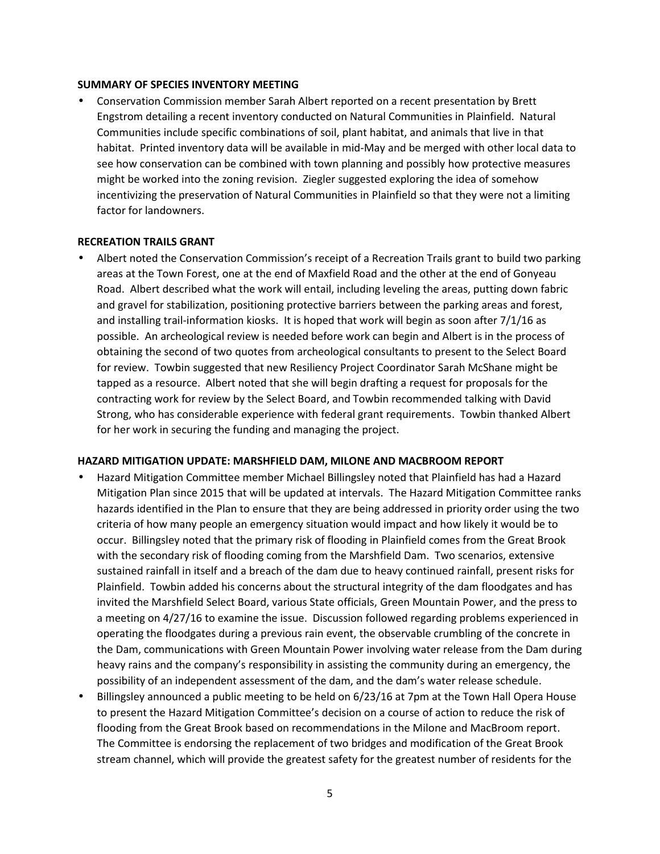#### **SUMMARY OF SPECIES INVENTORY MEETING**

 Conservation Commission member Sarah Albert reported on a recent presentation by Brett Engstrom detailing a recent inventory conducted on Natural Communities in Plainfield. Natural Communities include specific combinations of soil, plant habitat, and animals that live in that habitat. Printed inventory data will be available in mid-May and be merged with other local data to see how conservation can be combined with town planning and possibly how protective measures might be worked into the zoning revision. Ziegler suggested exploring the idea of somehow incentivizing the preservation of Natural Communities in Plainfield so that they were not a limiting factor for landowners.

#### **RECREATION TRAILS GRANT**

 Albert noted the Conservation Commission's receipt of a Recreation Trails grant to build two parking areas at the Town Forest, one at the end of Maxfield Road and the other at the end of Gonyeau Road. Albert described what the work will entail, including leveling the areas, putting down fabric and gravel for stabilization, positioning protective barriers between the parking areas and forest, and installing trail-information kiosks. It is hoped that work will begin as soon after 7/1/16 as possible. An archeological review is needed before work can begin and Albert is in the process of obtaining the second of two quotes from archeological consultants to present to the Select Board for review. Towbin suggested that new Resiliency Project Coordinator Sarah McShane might be tapped as a resource. Albert noted that she will begin drafting a request for proposals for the contracting work for review by the Select Board, and Towbin recommended talking with David Strong, who has considerable experience with federal grant requirements. Towbin thanked Albert for her work in securing the funding and managing the project.

#### **HAZARD MITIGATION UPDATE: MARSHFIELD DAM, MILONE AND MACBROOM REPORT**

- Hazard Mitigation Committee member Michael Billingsley noted that Plainfield has had a Hazard Mitigation Plan since 2015 that will be updated at intervals. The Hazard Mitigation Committee ranks hazards identified in the Plan to ensure that they are being addressed in priority order using the two criteria of how many people an emergency situation would impact and how likely it would be to occur. Billingsley noted that the primary risk of flooding in Plainfield comes from the Great Brook with the secondary risk of flooding coming from the Marshfield Dam. Two scenarios, extensive sustained rainfall in itself and a breach of the dam due to heavy continued rainfall, present risks for Plainfield. Towbin added his concerns about the structural integrity of the dam floodgates and has invited the Marshfield Select Board, various State officials, Green Mountain Power, and the press to a meeting on 4/27/16 to examine the issue. Discussion followed regarding problems experienced in operating the floodgates during a previous rain event, the observable crumbling of the concrete in the Dam, communications with Green Mountain Power involving water release from the Dam during heavy rains and the company's responsibility in assisting the community during an emergency, the possibility of an independent assessment of the dam, and the dam's water release schedule.
- Billingsley announced a public meeting to be held on 6/23/16 at 7pm at the Town Hall Opera House to present the Hazard Mitigation Committee's decision on a course of action to reduce the risk of flooding from the Great Brook based on recommendations in the Milone and MacBroom report. The Committee is endorsing the replacement of two bridges and modification of the Great Brook stream channel, which will provide the greatest safety for the greatest number of residents for the